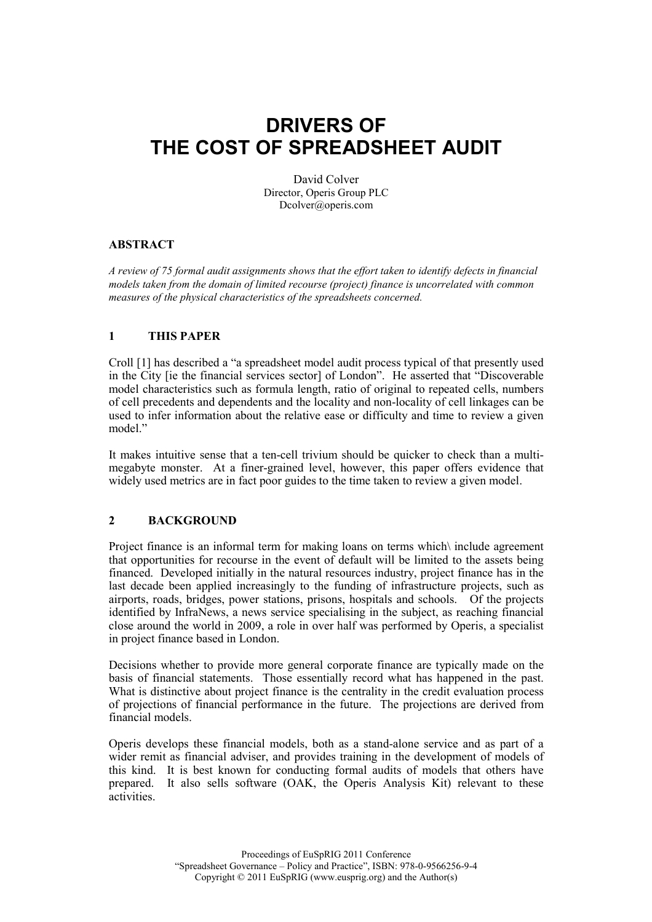# DRIVERS OF THE COST OF SPREADSHEET AUDIT

David Colver Director, Operis Group PLC Dcolver@operis.com

## ABSTRACT

A review of 75 formal audit assignments shows that the effort taken to identify defects in financial models taken from the domain of limited recourse (project) finance is uncorrelated with common measures of the physical characteristics of the spreadsheets concerned.

#### 1 THIS PAPER

Croll [1] has described a "a spreadsheet model audit process typical of that presently used in the City [ie the financial services sector] of London". He asserted that "Discoverable model characteristics such as formula length, ratio of original to repeated cells, numbers of cell precedents and dependents and the locality and non-locality of cell linkages can be used to infer information about the relative ease or difficulty and time to review a given model."

It makes intuitive sense that a ten-cell trivium should be quicker to check than a multimegabyte monster. At a finer-grained level, however, this paper offers evidence that widely used metrics are in fact poor guides to the time taken to review a given model.

#### 2 BACKGROUND

Project finance is an informal term for making loans on terms which\ include agreement that opportunities for recourse in the event of default will be limited to the assets being financed. Developed initially in the natural resources industry, project finance has in the last decade been applied increasingly to the funding of infrastructure projects, such as airports, roads, bridges, power stations, prisons, hospitals and schools. Of the projects identified by InfraNews, a news service specialising in the subject, as reaching financial close around the world in 2009, a role in over half was performed by Operis, a specialist in project finance based in London.

Decisions whether to provide more general corporate finance are typically made on the basis of financial statements. Those essentially record what has happened in the past. What is distinctive about project finance is the centrality in the credit evaluation process of projections of financial performance in the future. The projections are derived from financial models.

Operis develops these financial models, both as a stand-alone service and as part of a wider remit as financial adviser, and provides training in the development of models of this kind. It is best known for conducting formal audits of models that others have prepared. It also sells software (OAK, the Operis Analysis Kit) relevant to these activities.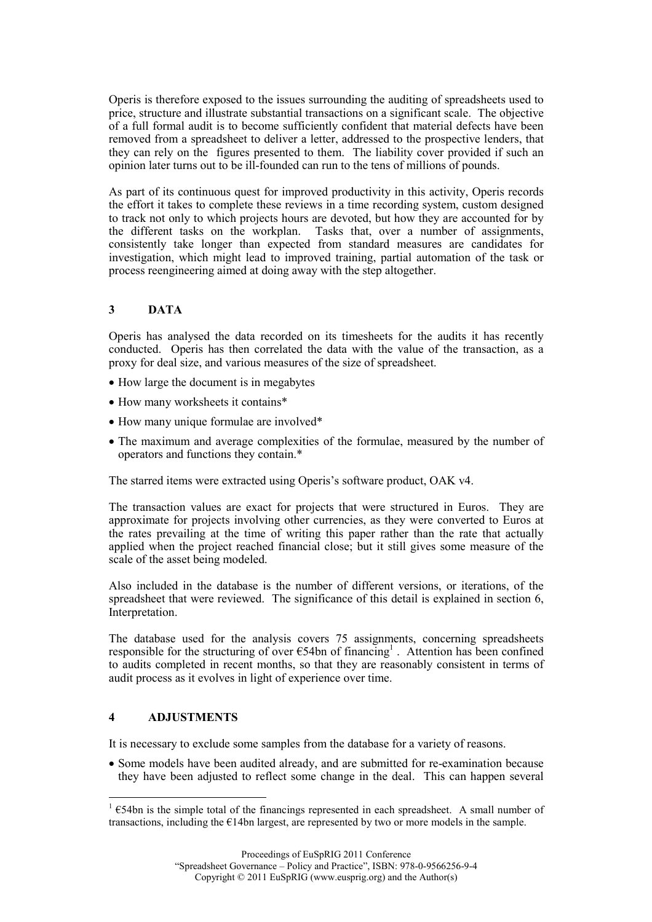Operis is therefore exposed to the issues surrounding the auditing of spreadsheets used to price, structure and illustrate substantial transactions on a significant scale. The objective of a full formal audit is to become sufficiently confident that material defects have been removed from a spreadsheet to deliver a letter, addressed to the prospective lenders, that they can rely on the figures presented to them. The liability cover provided if such an opinion later turns out to be ill-founded can run to the tens of millions of pounds.

As part of its continuous quest for improved productivity in this activity, Operis records the effort it takes to complete these reviews in a time recording system, custom designed to track not only to which projects hours are devoted, but how they are accounted for by the different tasks on the workplan. Tasks that, over a number of assignments, consistently take longer than expected from standard measures are candidates for investigation, which might lead to improved training, partial automation of the task or process reengineering aimed at doing away with the step altogether.

# 3 DATA

Operis has analysed the data recorded on its timesheets for the audits it has recently conducted. Operis has then correlated the data with the value of the transaction, as a proxy for deal size, and various measures of the size of spreadsheet.

- How large the document is in megabytes
- How many worksheets it contains\*
- How many unique formulae are involved\*
- The maximum and average complexities of the formulae, measured by the number of operators and functions they contain.\*

The starred items were extracted using Operis's software product, OAK v4.

The transaction values are exact for projects that were structured in Euros. They are approximate for projects involving other currencies, as they were converted to Euros at the rates prevailing at the time of writing this paper rather than the rate that actually applied when the project reached financial close; but it still gives some measure of the scale of the asset being modeled.

Also included in the database is the number of different versions, or iterations, of the spreadsheet that were reviewed. The significance of this detail is explained in section 6, Interpretation.

The database used for the analysis covers 75 assignments, concerning spreadsheets responsible for the structuring of over  $\epsilon$ 54bn of financing<sup>1</sup>. Attention has been confined to audits completed in recent months, so that they are reasonably consistent in terms of audit process as it evolves in light of experience over time.

## 4 ADJUSTMENTS

 $\overline{a}$ 

It is necessary to exclude some samples from the database for a variety of reasons.

• Some models have been audited already, and are submitted for re-examination because they have been adjusted to reflect some change in the deal. This can happen several

<sup>1</sup> €54bn is the simple total of the financings represented in each spreadsheet. A small number of transactions, including the  $E14$ bn largest, are represented by two or more models in the sample.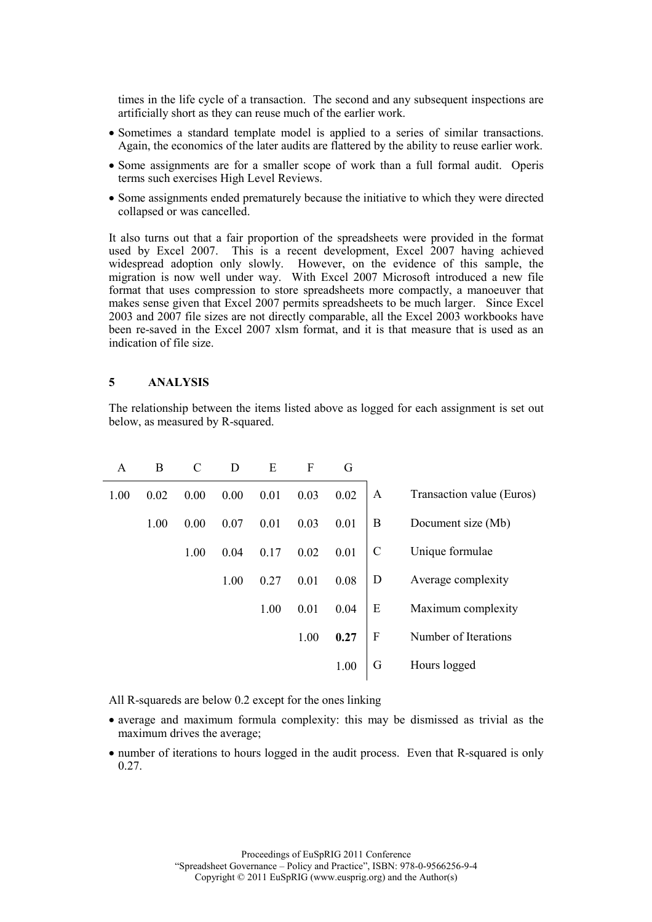times in the life cycle of a transaction. The second and any subsequent inspections are artificially short as they can reuse much of the earlier work.

- Sometimes a standard template model is applied to a series of similar transactions. Again, the economics of the later audits are flattered by the ability to reuse earlier work.
- Some assignments are for a smaller scope of work than a full formal audit. Operis terms such exercises High Level Reviews.
- Some assignments ended prematurely because the initiative to which they were directed collapsed or was cancelled.

It also turns out that a fair proportion of the spreadsheets were provided in the format used by Excel 2007. This is a recent development, Excel 2007 having achieved widespread adoption only slowly. However, on the evidence of this sample, the migration is now well under way. With Excel 2007 Microsoft introduced a new file format that uses compression to store spreadsheets more compactly, a manoeuver that makes sense given that Excel 2007 permits spreadsheets to be much larger. Since Excel 2003 and 2007 file sizes are not directly comparable, all the Excel 2003 workbooks have been re-saved in the Excel 2007 xlsm format, and it is that measure that is used as an indication of file size.

#### 5 ANALYSIS

The relationship between the items listed above as logged for each assignment is set out below, as measured by R-squared.

| A    | B    | $\mathcal{C}$ | D    | E    | F    | G    |                  |                           |
|------|------|---------------|------|------|------|------|------------------|---------------------------|
| 1.00 | 0.02 | 0.00          | 0.00 | 0.01 | 0.03 | 0.02 | A                | Transaction value (Euros) |
|      | 1.00 | 0.00          | 0.07 | 0.01 | 0.03 | 0.01 | B                | Document size (Mb)        |
|      |      | 1.00          | 0.04 | 0.17 | 0.02 | 0.01 | $\mathcal{C}$    | Unique formulae           |
|      |      |               | 1.00 | 0.27 | 0.01 | 0.08 | D                | Average complexity        |
|      |      |               |      | 1.00 | 0.01 | 0.04 | E                | Maximum complexity        |
|      |      |               |      |      | 1.00 | 0.27 | $\boldsymbol{F}$ | Number of Iterations      |
|      |      |               |      |      |      | 1.00 | G                | Hours logged              |

All R-squareds are below 0.2 except for the ones linking

- average and maximum formula complexity: this may be dismissed as trivial as the maximum drives the average;
- number of iterations to hours logged in the audit process. Even that R-squared is only 0.27.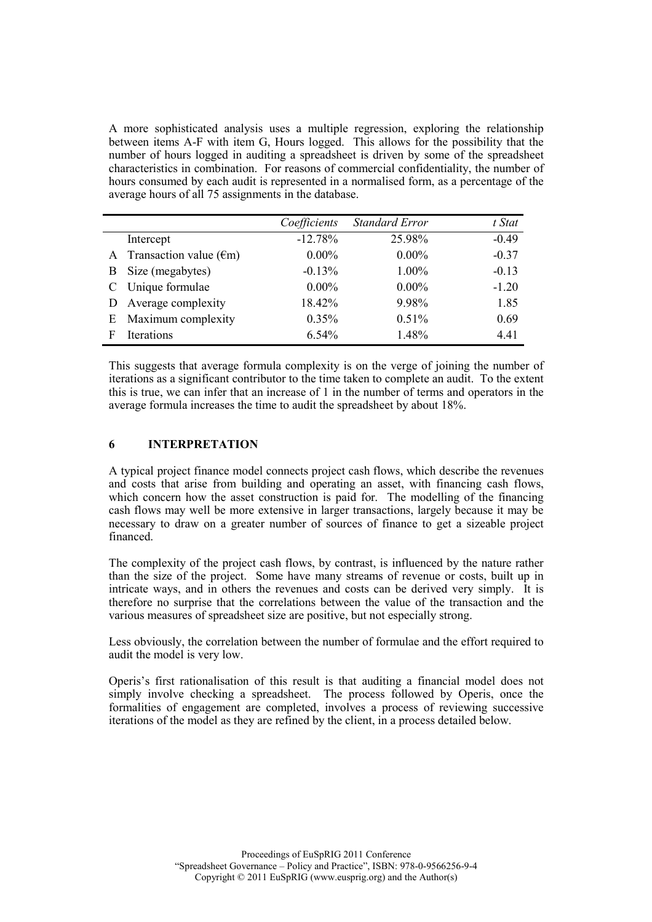A more sophisticated analysis uses a multiple regression, exploring the relationship between items A-F with item G, Hours logged. This allows for the possibility that the number of hours logged in auditing a spreadsheet is driven by some of the spreadsheet characteristics in combination. For reasons of commercial confidentiality, the number of hours consumed by each audit is represented in a normalised form, as a percentage of the average hours of all 75 assignments in the database.

|   |                                    | Coefficients | <b>Standard Error</b> | t Stat  |
|---|------------------------------------|--------------|-----------------------|---------|
|   | Intercept                          | $-12.78%$    | 25.98%                | $-0.49$ |
|   | A Transaction value $(\epsilon m)$ | $0.00\%$     | $0.00\%$              | $-0.37$ |
| B | Size (megabytes)                   | $-0.13%$     | 1.00%                 | $-0.13$ |
|   | C Unique formulae                  | $0.00\%$     | $0.00\%$              | $-1.20$ |
| D | Average complexity                 | 18.42%       | 9.98%                 | 1.85    |
|   | E Maximum complexity               | 0.35%        | 0.51%                 | 0.69    |
| F | Iterations                         | 6.54%        | 1.48%                 | 4.41    |

This suggests that average formula complexity is on the verge of joining the number of iterations as a significant contributor to the time taken to complete an audit. To the extent this is true, we can infer that an increase of 1 in the number of terms and operators in the average formula increases the time to audit the spreadsheet by about 18%.

## 6 INTERPRETATION

A typical project finance model connects project cash flows, which describe the revenues and costs that arise from building and operating an asset, with financing cash flows, which concern how the asset construction is paid for. The modelling of the financing cash flows may well be more extensive in larger transactions, largely because it may be necessary to draw on a greater number of sources of finance to get a sizeable project financed.

The complexity of the project cash flows, by contrast, is influenced by the nature rather than the size of the project. Some have many streams of revenue or costs, built up in intricate ways, and in others the revenues and costs can be derived very simply. It is therefore no surprise that the correlations between the value of the transaction and the various measures of spreadsheet size are positive, but not especially strong.

Less obviously, the correlation between the number of formulae and the effort required to audit the model is very low.

Operis's first rationalisation of this result is that auditing a financial model does not simply involve checking a spreadsheet. The process followed by Operis, once the formalities of engagement are completed, involves a process of reviewing successive iterations of the model as they are refined by the client, in a process detailed below.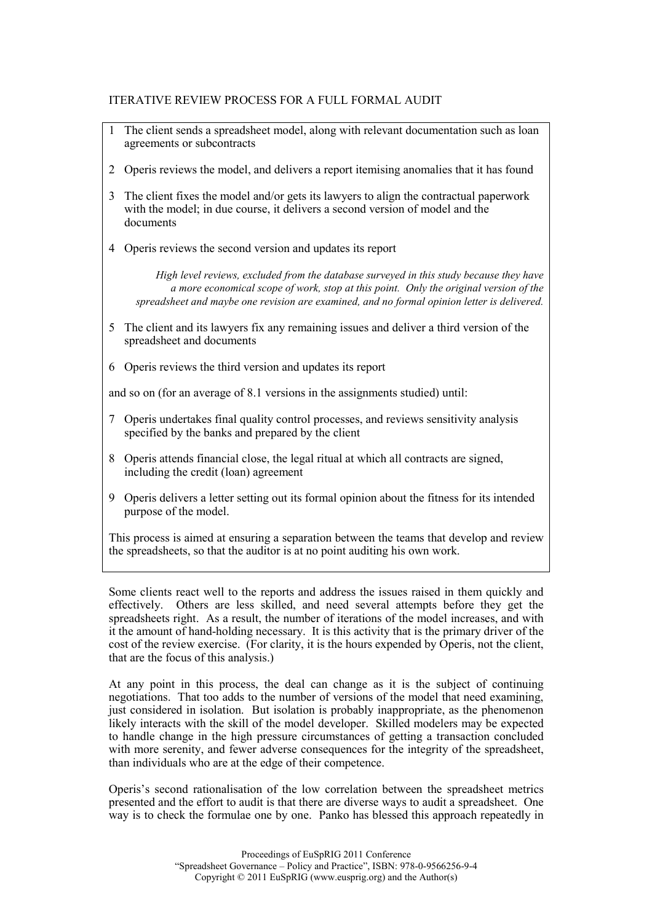## ITERATIVE REVIEW PROCESS FOR A FULL FORMAL AUDIT

- 1 The client sends a spreadsheet model, along with relevant documentation such as loan agreements or subcontracts
- 2 Operis reviews the model, and delivers a report itemising anomalies that it has found
- 3 The client fixes the model and/or gets its lawyers to align the contractual paperwork with the model; in due course, it delivers a second version of model and the documents
- 4 Operis reviews the second version and updates its report

High level reviews, excluded from the database surveyed in this study because they have a more economical scope of work, stop at this point. Only the original version of the spreadsheet and maybe one revision are examined, and no formal opinion letter is delivered.

- 5 The client and its lawyers fix any remaining issues and deliver a third version of the spreadsheet and documents
- 6 Operis reviews the third version and updates its report

and so on (for an average of 8.1 versions in the assignments studied) until:

- 7 Operis undertakes final quality control processes, and reviews sensitivity analysis specified by the banks and prepared by the client
- 8 Operis attends financial close, the legal ritual at which all contracts are signed, including the credit (loan) agreement
- 9 Operis delivers a letter setting out its formal opinion about the fitness for its intended purpose of the model.

This process is aimed at ensuring a separation between the teams that develop and review the spreadsheets, so that the auditor is at no point auditing his own work.

Some clients react well to the reports and address the issues raised in them quickly and effectively. Others are less skilled, and need several attempts before they get the spreadsheets right. As a result, the number of iterations of the model increases, and with it the amount of hand-holding necessary. It is this activity that is the primary driver of the cost of the review exercise. (For clarity, it is the hours expended by Operis, not the client, that are the focus of this analysis.)

At any point in this process, the deal can change as it is the subject of continuing negotiations. That too adds to the number of versions of the model that need examining, just considered in isolation. But isolation is probably inappropriate, as the phenomenon likely interacts with the skill of the model developer. Skilled modelers may be expected to handle change in the high pressure circumstances of getting a transaction concluded with more serenity, and fewer adverse consequences for the integrity of the spreadsheet, than individuals who are at the edge of their competence.

Operis's second rationalisation of the low correlation between the spreadsheet metrics presented and the effort to audit is that there are diverse ways to audit a spreadsheet. One way is to check the formulae one by one. Panko has blessed this approach repeatedly in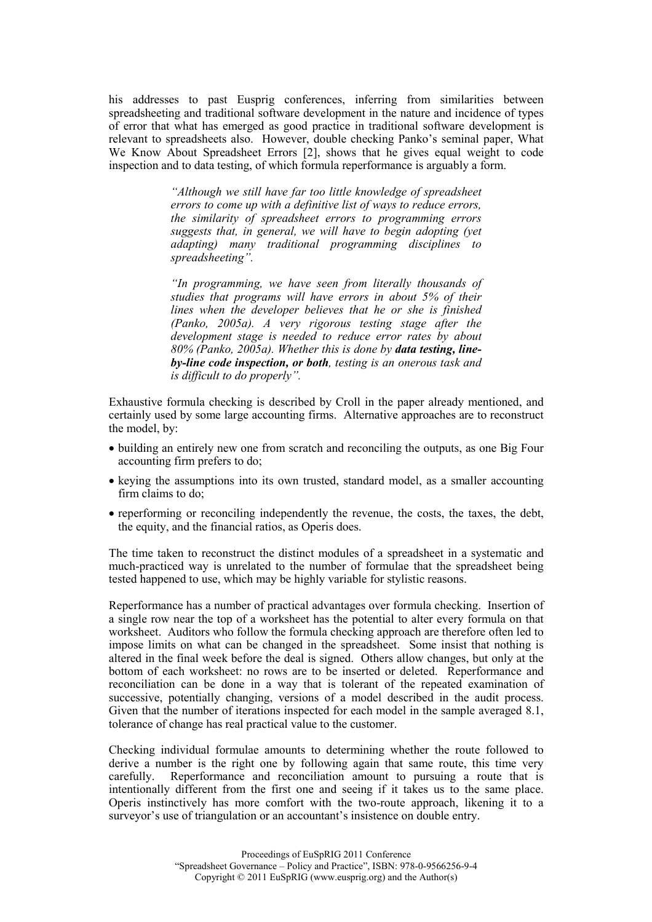his addresses to past Eusprig conferences, inferring from similarities between spreadsheeting and traditional software development in the nature and incidence of types of error that what has emerged as good practice in traditional software development is relevant to spreadsheets also. However, double checking Panko's seminal paper, What We Know About Spreadsheet Errors [2], shows that he gives equal weight to code inspection and to data testing, of which formula reperformance is arguably a form.

> "Although we still have far too little knowledge of spreadsheet errors to come up with a definitive list of ways to reduce errors, the similarity of spreadsheet errors to programming errors suggests that, in general, we will have to begin adopting (yet adapting) many traditional programming disciplines to spreadsheeting".

> "In programming, we have seen from literally thousands of studies that programs will have errors in about 5% of their lines when the developer believes that he or she is finished (Panko, 2005a). A very rigorous testing stage after the development stage is needed to reduce error rates by about  $80\%$  (Panko,  $20\overline{0}5a$ ). Whether this is done by data testing, lineby-line code inspection, or both, testing is an onerous task and is difficult to do properly".

Exhaustive formula checking is described by Croll in the paper already mentioned, and certainly used by some large accounting firms. Alternative approaches are to reconstruct the model, by:

- building an entirely new one from scratch and reconciling the outputs, as one Big Four accounting firm prefers to do;
- keying the assumptions into its own trusted, standard model, as a smaller accounting firm claims to do:
- reperforming or reconciling independently the revenue, the costs, the taxes, the debt, the equity, and the financial ratios, as Operis does.

The time taken to reconstruct the distinct modules of a spreadsheet in a systematic and much-practiced way is unrelated to the number of formulae that the spreadsheet being tested happened to use, which may be highly variable for stylistic reasons.

Reperformance has a number of practical advantages over formula checking. Insertion of a single row near the top of a worksheet has the potential to alter every formula on that worksheet. Auditors who follow the formula checking approach are therefore often led to impose limits on what can be changed in the spreadsheet. Some insist that nothing is altered in the final week before the deal is signed. Others allow changes, but only at the bottom of each worksheet: no rows are to be inserted or deleted. Reperformance and reconciliation can be done in a way that is tolerant of the repeated examination of successive, potentially changing, versions of a model described in the audit process. Given that the number of iterations inspected for each model in the sample averaged 8.1, tolerance of change has real practical value to the customer.

Checking individual formulae amounts to determining whether the route followed to derive a number is the right one by following again that same route, this time very carefully. Reperformance and reconciliation amount to pursuing a route that is intentionally different from the first one and seeing if it takes us to the same place. Operis instinctively has more comfort with the two-route approach, likening it to a surveyor's use of triangulation or an accountant's insistence on double entry.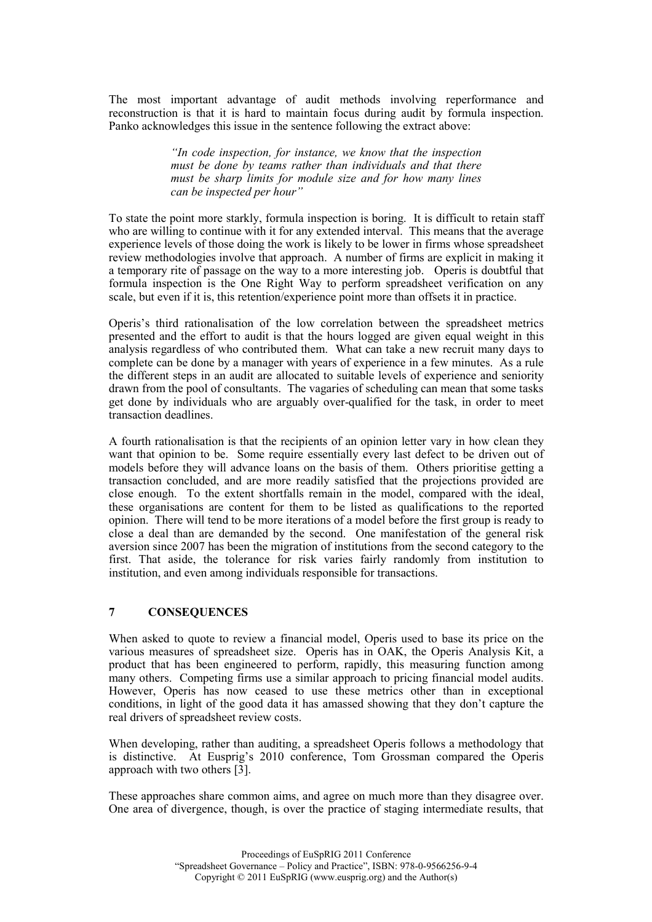The most important advantage of audit methods involving reperformance and reconstruction is that it is hard to maintain focus during audit by formula inspection. Panko acknowledges this issue in the sentence following the extract above:

> "In code inspection, for instance, we know that the inspection must be done by teams rather than individuals and that there must be sharp limits for module size and for how many lines can be inspected per hour"

To state the point more starkly, formula inspection is boring. It is difficult to retain staff who are willing to continue with it for any extended interval. This means that the average experience levels of those doing the work is likely to be lower in firms whose spreadsheet review methodologies involve that approach. A number of firms are explicit in making it a temporary rite of passage on the way to a more interesting job. Operis is doubtful that formula inspection is the One Right Way to perform spreadsheet verification on any scale, but even if it is, this retention/experience point more than offsets it in practice.

Operis's third rationalisation of the low correlation between the spreadsheet metrics presented and the effort to audit is that the hours logged are given equal weight in this analysis regardless of who contributed them. What can take a new recruit many days to complete can be done by a manager with years of experience in a few minutes. As a rule the different steps in an audit are allocated to suitable levels of experience and seniority drawn from the pool of consultants. The vagaries of scheduling can mean that some tasks get done by individuals who are arguably over-qualified for the task, in order to meet transaction deadlines.

A fourth rationalisation is that the recipients of an opinion letter vary in how clean they want that opinion to be. Some require essentially every last defect to be driven out of models before they will advance loans on the basis of them. Others prioritise getting a transaction concluded, and are more readily satisfied that the projections provided are close enough. To the extent shortfalls remain in the model, compared with the ideal, these organisations are content for them to be listed as qualifications to the reported opinion. There will tend to be more iterations of a model before the first group is ready to close a deal than are demanded by the second. One manifestation of the general risk aversion since 2007 has been the migration of institutions from the second category to the first. That aside, the tolerance for risk varies fairly randomly from institution to institution, and even among individuals responsible for transactions.

# 7 CONSEQUENCES

When asked to quote to review a financial model, Operis used to base its price on the various measures of spreadsheet size. Operis has in OAK, the Operis Analysis Kit, a product that has been engineered to perform, rapidly, this measuring function among many others. Competing firms use a similar approach to pricing financial model audits. However, Operis has now ceased to use these metrics other than in exceptional conditions, in light of the good data it has amassed showing that they don't capture the real drivers of spreadsheet review costs.

When developing, rather than auditing, a spreadsheet Operis follows a methodology that is distinctive. At Eusprig's 2010 conference, Tom Grossman compared the Operis approach with two others [3].

These approaches share common aims, and agree on much more than they disagree over. One area of divergence, though, is over the practice of staging intermediate results, that